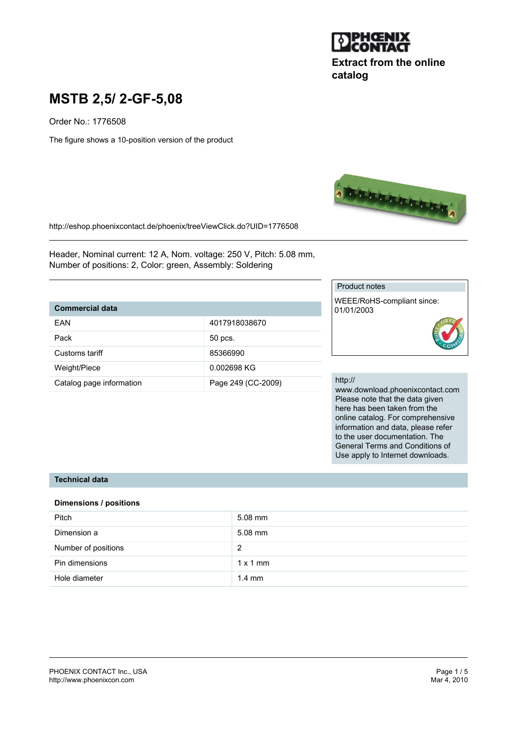

# **Extract from the online catalog**

# **MSTB 2,5/ 2-GF-5,08**

Order No.: 1776508

The figure shows a 10-position version of the product



http://eshop.phoenixcontact.de/phoenix/treeViewClick.do?UID=1776508

Header, Nominal current: 12 A, Nom. voltage: 250 V, Pitch: 5.08 mm, Number of positions: 2, Color: green, Assembly: Soldering

## **Commercial data**

| FAN                      | 4017918038670      |
|--------------------------|--------------------|
| Pack                     | 50 pcs.            |
| Customs tariff           | 85366990           |
| Weight/Piece             | 0.002698 KG        |
| Catalog page information | Page 249 (CC-2009) |

#### Product notes

WEEE/RoHS-compliant since: 01/01/2003

#### http://

www.download.phoenixcontact.com Please note that the data given here has been taken from the online catalog. For comprehensive information and data, please refer to the user documentation. The General Terms and Conditions of Use apply to Internet downloads.

#### **Technical data**

#### **Dimensions / positions**

| Pitch               | $5.08$ mm        |
|---------------------|------------------|
| Dimension a         | $5.08$ mm        |
| Number of positions | 2                |
| Pin dimensions      | $1 \times 1$ mm  |
| Hole diameter       | $1.4 \text{ mm}$ |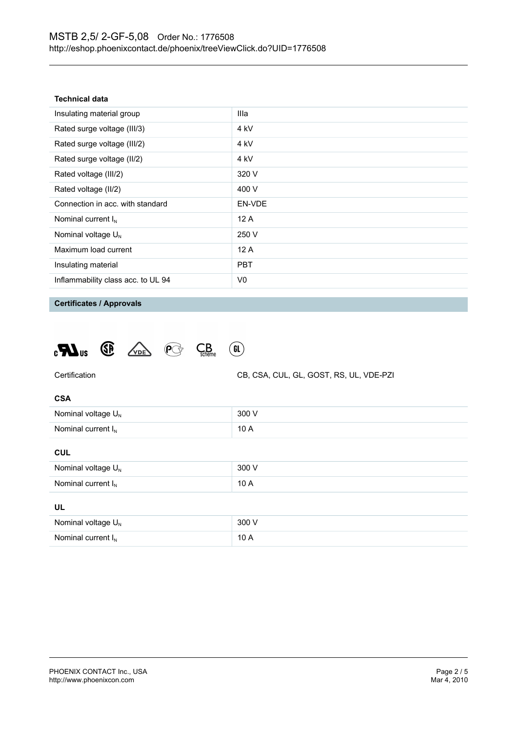| Technical data |  |  |  |  |
|----------------|--|--|--|--|
|----------------|--|--|--|--|

| Insulating material group          | Illa            |
|------------------------------------|-----------------|
| Rated surge voltage (III/3)        | 4 kV            |
| Rated surge voltage (III/2)        | 4 <sub>kV</sub> |
| Rated surge voltage (II/2)         | 4 <sub>kV</sub> |
| Rated voltage (III/2)              | 320 V           |
| Rated voltage (II/2)               | 400 V           |
| Connection in acc. with standard   | EN-VDE          |
| Nominal current $I_N$              | 12A             |
| Nominal voltage $U_{N}$            | 250 V           |
| Maximum load current               | 12A             |
| Insulating material                | <b>PBT</b>      |
| Inflammability class acc. to UL 94 | V0              |
|                                    |                 |

**Certificates / Approvals**

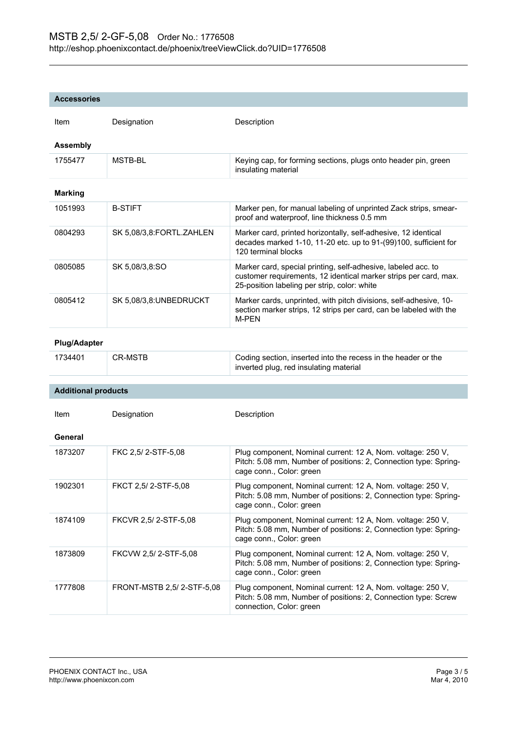| <b>Accessories</b> |  |  |  |  |  |
|--------------------|--|--|--|--|--|
|                    |  |  |  |  |  |

| <b>Item</b>     | Designation              | Description                                                                                                                                                                       |
|-----------------|--------------------------|-----------------------------------------------------------------------------------------------------------------------------------------------------------------------------------|
| <b>Assembly</b> |                          |                                                                                                                                                                                   |
| 1755477         | MSTB-BL                  | Keying cap, for forming sections, plugs onto header pin, green<br>insulating material                                                                                             |
| <b>Marking</b>  |                          |                                                                                                                                                                                   |
| 1051993         | <b>B-STIFT</b>           | Marker pen, for manual labeling of unprinted Zack strips, smear-<br>proof and waterproof, line thickness 0.5 mm                                                                   |
| 0804293         | SK 5,08/3,8:FORTL.ZAHLEN | Marker card, printed horizontally, self-adhesive, 12 identical<br>decades marked 1-10, 11-20 etc. up to 91-(99)100, sufficient for<br>120 terminal blocks                         |
| 0805085         | SK 5,08/3,8:SO           | Marker card, special printing, self-adhesive, labeled acc. to<br>customer requirements, 12 identical marker strips per card, max.<br>25-position labeling per strip, color: white |
| 0805412         | SK 5,08/3,8:UNBEDRUCKT   | Marker cards, unprinted, with pitch divisions, self-adhesive, 10-<br>section marker strips, 12 strips per card, can be labeled with the<br>M-PEN                                  |

#### **Plug/Adapter**

**Additional products**

| 1734401 | CR-MSTB | Coding section, inserted into the recess in the header or the |
|---------|---------|---------------------------------------------------------------|
|         |         | inverted plug, red insulating material                        |

| Item    | Designation               | Description                                                                                                                                                 |
|---------|---------------------------|-------------------------------------------------------------------------------------------------------------------------------------------------------------|
| General |                           |                                                                                                                                                             |
| 1873207 | FKC 2.5/2-STF-5.08        | Plug component, Nominal current: 12 A, Nom. voltage: 250 V,<br>Pitch: 5.08 mm, Number of positions: 2, Connection type: Spring-<br>cage conn., Color: green |
| 1902301 | FKCT 2,5/2-STF-5,08       | Plug component, Nominal current: 12 A, Nom. voltage: 250 V,<br>Pitch: 5.08 mm, Number of positions: 2, Connection type: Spring-<br>cage conn., Color: green |
| 1874109 | FKCVR 2.5/2-STF-5.08      | Plug component, Nominal current: 12 A, Nom. voltage: 250 V,<br>Pitch: 5.08 mm, Number of positions: 2, Connection type: Spring-<br>cage conn., Color: green |
| 1873809 | FKCVW 2.5/2-STF-5.08      | Plug component, Nominal current: 12 A, Nom. voltage: 250 V,<br>Pitch: 5.08 mm, Number of positions: 2, Connection type: Spring-<br>cage conn., Color: green |
| 1777808 | FRONT-MSTB 2.5/2-STF-5.08 | Plug component, Nominal current: 12 A, Nom. voltage: 250 V,<br>Pitch: 5.08 mm, Number of positions: 2, Connection type: Screw<br>connection, Color: green   |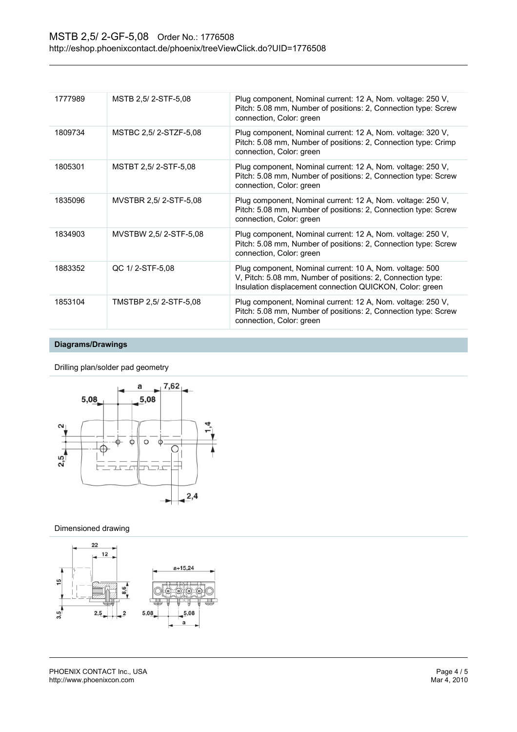| MSTB 2,5/2-STF-5,08<br>Plug component, Nominal current: 12 A, Nom. voltage: 250 V,<br>1777989<br>Pitch: 5.08 mm, Number of positions: 2, Connection type: Screw<br>connection, Color: green                       |  |
|-------------------------------------------------------------------------------------------------------------------------------------------------------------------------------------------------------------------|--|
|                                                                                                                                                                                                                   |  |
| MSTBC 2,5/2-STZF-5,08<br>Plug component, Nominal current: 12 A, Nom. voltage: 320 V,<br>1809734<br>Pitch: 5.08 mm, Number of positions: 2, Connection type: Crimp<br>connection, Color: green                     |  |
| MSTBT 2,5/2-STF-5,08<br>Plug component, Nominal current: 12 A, Nom. voltage: 250 V,<br>1805301<br>Pitch: 5.08 mm, Number of positions: 2, Connection type: Screw<br>connection, Color: green                      |  |
| MVSTBR 2.5/2-STF-5.08<br>Plug component, Nominal current: 12 A, Nom. voltage: 250 V,<br>1835096<br>Pitch: 5.08 mm, Number of positions: 2, Connection type: Screw<br>connection, Color: green                     |  |
| MVSTBW 2.5/2-STF-5.08<br>Plug component, Nominal current: 12 A, Nom. voltage: 250 V,<br>1834903<br>Pitch: 5.08 mm, Number of positions: 2, Connection type: Screw<br>connection, Color: green                     |  |
| Plug component, Nominal current: 10 A, Nom. voltage: 500<br>1883352<br>QC 1/2-STF-5,08<br>V, Pitch: 5.08 mm, Number of positions: 2, Connection type:<br>Insulation displacement connection QUICKON, Color: green |  |
| TMSTBP 2,5/2-STF-5,08<br>Plug component, Nominal current: 12 A, Nom. voltage: 250 V,<br>1853104<br>Pitch: 5.08 mm, Number of positions: 2, Connection type: Screw<br>connection, Color: green                     |  |

#### **Diagrams/Drawings**

Drilling plan/solder pad geometry



#### Dimensioned drawing